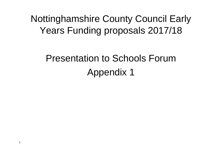Nottinghamshire County Council Early Years Funding proposals 2017/18

# Presentation to Schools ForumAppendix 1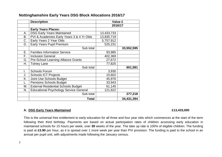|    | <b>Description</b>                            | <b>Value £</b> |            |
|----|-----------------------------------------------|----------------|------------|
|    |                                               | 2016/17        |            |
|    | <b>Early Years Places:</b>                    |                |            |
| А. | <b>DSG Early Years Maintained</b>             | 13,433,733     |            |
| В. | PVI & Academies Early Years 3 & 4 Yr Olds     | 13,835,719     |            |
| C. | Early Years 2 Year Olds                       | 5,757,912      |            |
| D. | <b>Early Years Pupil Premium</b>              | 525,231        |            |
|    | Sub total                                     |                | 33,552,595 |
| Е. | <b>Families Information Service</b>           | 93,985         |            |
| F. | <b>Inclusion General</b>                      | 402,369        |            |
| G. | <b>Pre-School Learning Alliance Grants</b>    | 27,672         |            |
| Н. | Tolney Lane                                   | 77,825         |            |
|    | Sub total                                     |                | 601,581    |
| I. | <b>Schools Forum</b>                          | 3,930          |            |
| J. | <b>Schools ICT Projects</b>                   | 10,602         |            |
| Κ. | Joint Use Schools Budget                      | 45,976         |            |
| L. | <b>Pensions Schools Budget</b>                | 33,943         |            |
| М. | <b>External Residential Schools Budget</b>    | 61,145         |            |
| N. | <b>Educational Psychology Service General</b> | 121,622        |            |
|    | Sub total                                     |                | 277,218    |
|    | Total                                         |                | 34,431,394 |

### **Nottinghamshire Early Years DSG Block Allocations 2016/17**

### **A. DSG Early Years Maintained £13,433,000**

This is the universal free entitlement to early education for all three and four year olds which commences at the start of the term following their third birthday. Payments are based on actual participation rates of children accessing early education in maintained schools for 15 hours per week, over **39** weeks of the year. The take up rate is 100% of eligible children. The funding is paid at **£3.90** per hour, as it is spread over 1 more week per year than PVI provision. The funding is paid to the school in an annual per pupil unit, with adjustments made following the January census.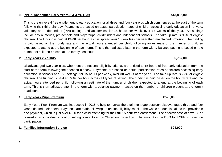### A. **PVI & Academies Early Years 3 & 4 Yr. Olds £13,835,000**

This is the universal free entitlement to early education for all three and four year olds which commences at the start of the term following their third birthday. Payments are based on actual participation rates of children accessing early education in private, voluntary and independent (PVI) settings and academies, for 15 hours per week, over **38** weeks of the year. PVI settings include day nurseries, pre-schools and playgroups, childminders and independent schools. The take-up rate is 98% of eligible children. The funding is paid at **£4.00** per hour, as it is spread over 1 week less per year than maintained provision. The funding is paid based on the hourly rate and the actual hours attended per child, following an estimate of the number of children expected to attend at the beginning of each term. This is then adjusted later in the term with a balance payment, based on the number of children present at the termly headcount.

### B. **Early Years 2 Yr Olds £5,757,000**

Disadvantaged two year olds, who meet the national eligibility criteria, are entitled to 15 hours of free early education from the start of the term following their second birthday. Payments are based on actual participation rates of children accessing early education in schools and PVI settings, for 15 hours per week, over **38** weeks of the year. The take-up rate is 72% of eligible children. The funding is paid at **£5.09** per hour across all types of setting. The funding is paid based on the hourly rate and the actual hours attended per child, following an estimate of the number of children expected to attend at the beginning of each term. This is then adjusted later in the term with a balance payment, based on the number of children present at the termly headcount.

### C. **Early Years Pupil Premium £525,000**

Early Years Pupil Premium was introduced in 2015 to help to narrow the attainment gap between disadvantaged three and four year olds and their peers. Payments are made following an on-line eligibility check. The whole amount is paid to the provider in one payment, which is just over £300 for a child attending for their full 15 hour free entitlement. The effectiveness of how EYPP is used in an individual school or setting is monitored by Ofsted on inspection. The amount in the DSG for EYPP is based on participation.

### D. **Families Information Service E94,000** *E94,000*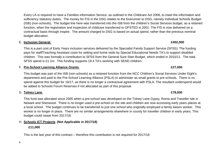Every LA is required to have a Families information Service, as outlined in the Childcare Act 2006, to meet the information and sufficiency statutory duties. The money for FIS in the DSG relates to the forerunner to DSG, namely Individual Schools Budget (ISB) (non-schools). The budget line here was transferred into the ISB from the children's Social Services budget, as a retained function, when the registration and inspection of childcare transferred to OFSTED in 2001. The FIS is now delivered on a contractual basis through Inspire. The amount charged to DSG is based on actual spend, rather than the previous nominal budget allocation.

### E. **Inclusion General £402,000**

This is a part cost of Early Years inclusion services delivered by the Specialist Family Support Service (SFSS). The funding pays for staff/Teaching Assistant costs for setting and home visits by Special Educational Needs TA's to support disabled children. This was formally a contribution to SFSS from the General Sure Start Budget, which ended in 2010/11. The total SFSS spend is £1.1m. This funding supports 19.4 TA's working with SEND children.

### F. **Pre-School Learning Alliance Grants £27,000**

This budget was part of the ISB (non-schools) as a retained function from the NCC Children's Social Services Under Eight's department and paid to the Pre-School Learning Alliance (PSLA) to administer as small grants to pre-schools. There is no spend against this budget for 16/17, as there is no longer a contractual agreement with PSLA. The resultant underspend would be added to Schools Forum Reserves if not allocated as part of this proposal.

### G. **Tolney Lane£78,000**

This fund was allocated since 2005 when a pre-school was developed on the Tolney Lane Gypsy, Roma and Traveller site in Newark and Sherwood. There is no longer used a pre-school on the site and children are now accessing early years places at a local school. The budget continues to be transferred to just one school who originally employed a family liaison worker. This worker is no longer in place. There are no similar arrangements elsewhere in county for traveller children in early years. This budget could cease from 2017/18.

## H. **Schools ICT Projects (Not Applicable in 2017/18)**

### **£11,000**

This is the last year of this contract – therefore this contribution is not required for 2017/18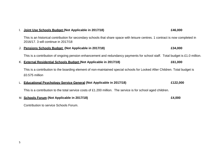| Ι. | Joint Use Schools Budget (Not Applicable in 2017/18)                                                                                                                  | £46,000  |
|----|-----------------------------------------------------------------------------------------------------------------------------------------------------------------------|----------|
|    | This is an historical contribution for secondary schools that share space with leisure centres. 1 contract is now completed in<br>2016/17, 3 will continue in 2017/18 |          |
|    | J. Pensions Schools Budget (Not Applicable in 2017/18)                                                                                                                | £34,000  |
|    | This is a contribution of ongoing pension enhancement and redundancy payments for school staff. Total budget is £1.0 million.                                         |          |
|    | K. External Residential Schools Budget (Not Applicable in 2017/18)                                                                                                    | £61,000  |
|    | This is a contribution to the boarding element of non-maintained special schools for Looked After Children. Total budget is<br>£0.575 million                         |          |
|    | <b>Educational Psychology Service General (Not Applicable in 2017/18)</b>                                                                                             | £122,000 |
|    | This is a contribution to the total service costs of £1.200 million. The service is for school aged children.                                                         |          |
|    | M. Schools Forum (Not Applicable in 2017/18)                                                                                                                          | £4,000   |

Contribution to service Schools Forum.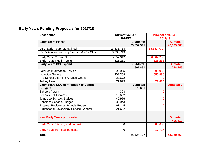### **Early Years Funding Proposals for 2017/18**

| <b>Description</b>                             | <b>Current Value £</b> |            | <b>Proposed Value £</b> |                      |
|------------------------------------------------|------------------------|------------|-------------------------|----------------------|
|                                                | 2016/17                |            | 2017/18                 |                      |
| <b>Early Years Places:</b>                     |                        | Subtotal:  |                         | <b>Subtotal:</b>     |
|                                                |                        | 33,552,595 |                         | 42,195,200           |
| <b>DSG Early Years Maintained</b>              | 13,433,733             |            | 35,662,739              |                      |
| PVI & Academies Early Years 3 & 4 Yr Olds      | 13,835,719             |            |                         |                      |
| Early Years 2 Year Olds                        | 5,757,912              |            | 6,007,230               |                      |
| Early Years Pupil Premium                      | 525,231                |            | 525,231                 |                      |
| <b>Early Years DSG spend:</b>                  |                        | Subtotal:  |                         | Subtotal:            |
|                                                |                        | 601,851    |                         | 728,746              |
| <b>Families Information Service</b>            | 93,985                 |            | 93,985                  |                      |
| <b>Inclusion General</b>                       | 402,369                |            | 556,936                 |                      |
| Pre-School Learning Alliance Grants*           | 27,672                 |            | O                       |                      |
| Tolney Lane*                                   | 77,825                 |            | 77,825                  |                      |
| <b>Early Years DSG contribution to Central</b> |                        | Subtotal:  |                         | Subtotal: 0          |
| <b>Budgets:</b>                                |                        | 273,681    |                         |                      |
| <b>Schools Forum</b>                           | 393                    |            | $\mathbf 0$             |                      |
| <b>Schools ICT Projects</b>                    | 10,602                 |            | 0                       |                      |
| Joint Use Schools Budget                       | 45,976                 |            | 0                       |                      |
| Pensions Schools Budget                        | 33,943                 |            | 0                       |                      |
| <b>External Residential Schools Budget</b>     | 61,145                 |            | $\mathbf 0$             |                      |
| <b>Educational Psychology Service General</b>  | 121,622                |            | 0                       |                      |
|                                                |                        |            |                         |                      |
| <b>New Early Years proposals</b>               |                        |            |                         | Subtotal:<br>406,413 |
| Early Years Staffing and on costs              | $\overline{0}$         |            | 388,686                 |                      |
| <b>Early Years non-staffing costs</b>          | $\overline{0}$         |            | 17,727                  |                      |
| <b>Total</b>                                   |                        | 34,428,127 |                         | 43,330,360           |